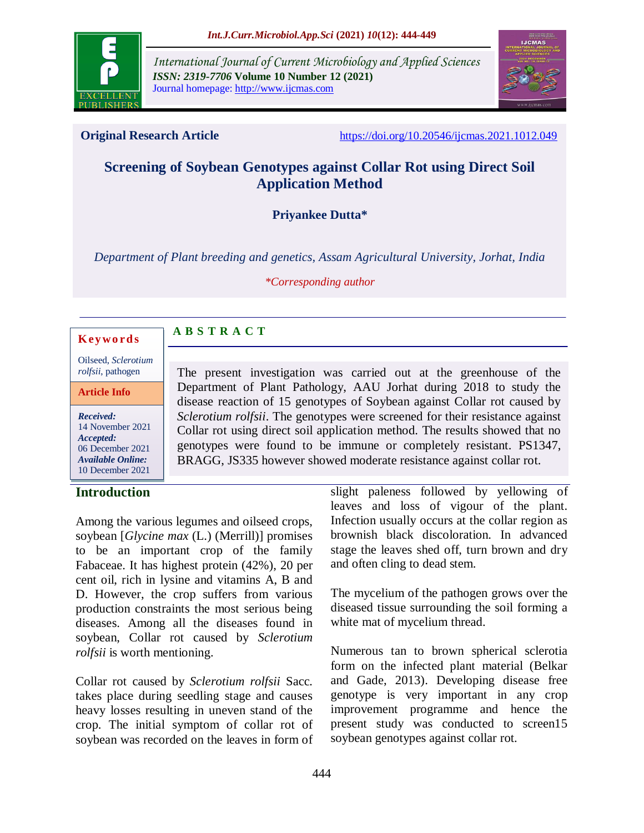

*International Journal of Current Microbiology and Applied Sciences ISSN: 2319-7706* **Volume 10 Number 12 (2021)**  Journal homepage: http://www.ijcmas.com



**Original Research Article** <https://doi.org/10.20546/ijcmas.2021.1012.049>

# **Screening of Soybean Genotypes against Collar Rot using Direct Soil Application Method**

**Priyankee Dutta\***

*Department of Plant breeding and genetics, Assam Agricultural University, Jorhat, India*

*\*Corresponding author*

#### **K ey w o rd s**

Oilseed, *Sclerotium rolfsii*, pathogen

**Article Info**

*Received:*  14 November 2021 *Accepted:*  06 December 2021 *Available Online:* 10 December 2021

## **Introduction**

The present investigation was carried out at the greenhouse of the Department of Plant Pathology, AAU Jorhat during 2018 to study the disease reaction of 15 genotypes of Soybean against Collar rot caused by *Sclerotium rolfsii*. The genotypes were screened for their resistance against Collar rot using direct soil application method. The results showed that no genotypes were found to be immune or completely resistant. PS1347, BRAGG, JS335 however showed moderate resistance against collar rot.

Among the various legumes and oilseed crops, soybean [*Glycine max* (L.) (Merrill)] promises to be an important crop of the family Fabaceae. It has highest protein (42%), 20 per cent oil, rich in lysine and vitamins A, B and D. However, the crop suffers from various production constraints the most serious being diseases. Among all the diseases found in soybean, Collar rot caused by *Sclerotium rolfsii* is worth mentioning.

**A B S T R A C T**

Collar rot caused by *Sclerotium rolfsii* Sacc*.* takes place during seedling stage and causes heavy losses resulting in uneven stand of the crop. The initial symptom of collar rot of soybean was recorded on the leaves in form of slight paleness followed by yellowing of leaves and loss of vigour of the plant. Infection usually occurs at the collar region as brownish black discoloration. In advanced stage the leaves shed off, turn brown and dry and often cling to dead stem.

The mycelium of the pathogen grows over the diseased tissue surrounding the soil forming a white mat of mycelium thread.

Numerous tan to brown spherical sclerotia form on the infected plant material (Belkar and Gade, 2013). Developing disease free genotype is very important in any crop improvement programme and hence the present study was conducted to screen15 soybean genotypes against collar rot.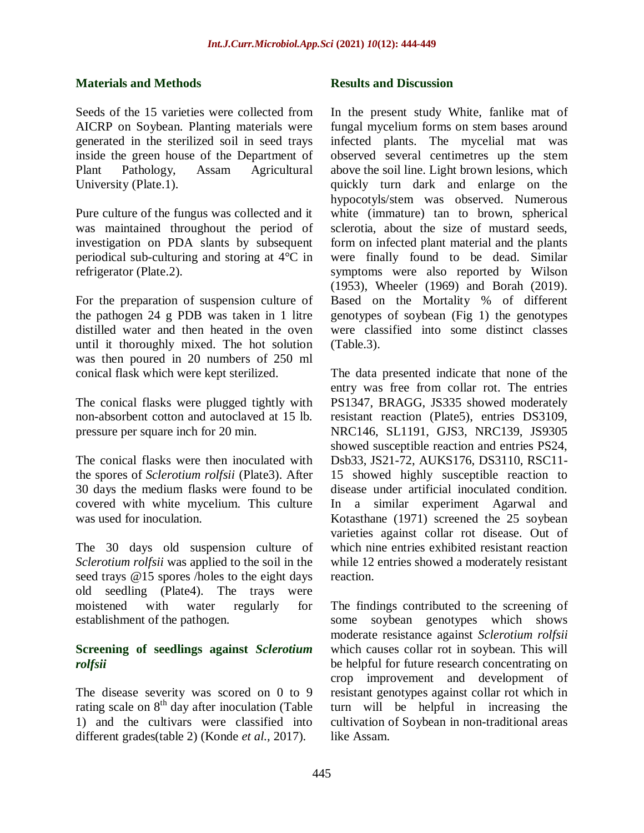#### **Materials and Methods**

Seeds of the 15 varieties were collected from AICRP on Soybean. Planting materials were generated in the sterilized soil in seed trays inside the green house of the Department of Plant Pathology, Assam Agricultural University (Plate.1).

Pure culture of the fungus was collected and it was maintained throughout the period of investigation on PDA slants by subsequent periodical sub-culturing and storing at 4°C in refrigerator (Plate.2).

For the preparation of suspension culture of the pathogen 24 g PDB was taken in 1 litre distilled water and then heated in the oven until it thoroughly mixed. The hot solution was then poured in 20 numbers of 250 ml conical flask which were kept sterilized.

The conical flasks were plugged tightly with non-absorbent cotton and autoclaved at 15 lb. pressure per square inch for 20 min.

The conical flasks were then inoculated with the spores of *Sclerotium rolfsii* (Plate3). After 30 days the medium flasks were found to be covered with white mycelium. This culture was used for inoculation.

The 30 days old suspension culture of *Sclerotium rolfsii* was applied to the soil in the seed trays @15 spores /holes to the eight days old seedling (Plate4). The trays were moistened with water regularly for establishment of the pathogen.

## **Screening of seedlings against** *Sclerotium rolfsii*

The disease severity was scored on 0 to 9 rating scale on  $8<sup>th</sup>$  day after inoculation (Table 1) and the cultivars were classified into different grades(table 2) (Konde *et al.,* 2017).

#### **Results and Discussion**

In the present study White, fanlike mat of fungal mycelium forms on stem bases around infected plants. The mycelial mat was observed several centimetres up the stem above the soil line. Light brown lesions, which quickly turn dark and enlarge on the hypocotyls/stem was observed. Numerous white (immature) tan to brown, spherical sclerotia, about the size of mustard seeds, form on infected plant material and the plants were finally found to be dead. Similar symptoms were also reported by Wilson (1953), Wheeler (1969) and Borah (2019). Based on the Mortality % of different genotypes of soybean (Fig 1) the genotypes were classified into some distinct classes (Table.3).

The data presented indicate that none of the entry was free from collar rot. The entries PS1347, BRAGG, JS335 showed moderately resistant reaction (Plate5), entries DS3109, NRC146, SL1191, GJS3, NRC139, JS9305 showed susceptible reaction and entries PS24, Dsb33, JS21-72, AUKS176, DS3110, RSC11- 15 showed highly susceptible reaction to disease under artificial inoculated condition. In a similar experiment Agarwal and Kotasthane (1971) screened the 25 soybean varieties against collar rot disease. Out of which nine entries exhibited resistant reaction while 12 entries showed a moderately resistant reaction.

The findings contributed to the screening of some soybean genotypes which shows moderate resistance against *Sclerotium rolfsii* which causes collar rot in soybean. This will be helpful for future research concentrating on crop improvement and development of resistant genotypes against collar rot which in turn will be helpful in increasing the cultivation of Soybean in non-traditional areas like Assam.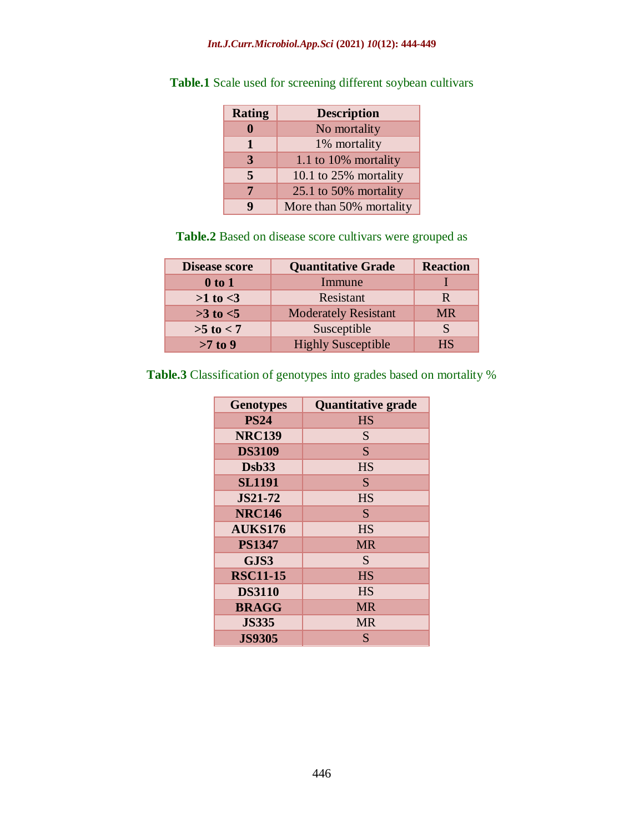#### *Int.J.Curr.Microbiol.App.Sci* **(2021)** *10***(12): 444-449**

| <b>Rating</b> | <b>Description</b>      |
|---------------|-------------------------|
|               | No mortality            |
| 1             | 1% mortality            |
| 3             | 1.1 to 10% mortality    |
| 5             | 10.1 to 25% mortality   |
| 7             | 25.1 to 50% mortality   |
| q             | More than 50% mortality |

**Table.1** Scale used for screening different soybean cultivars

**Table.2** Based on disease score cultivars were grouped as

| <b>Disease score</b> | <b>Quantitative Grade</b>   | <b>Reaction</b> |
|----------------------|-----------------------------|-----------------|
| $0$ to $1$           | Immune                      |                 |
| $>1$ to $<$ 3        | Resistant                   | R               |
| $>3$ to $<5$         | <b>Moderately Resistant</b> | <b>MR</b>       |
| $>5$ to $< 7$        | Susceptible                 | S               |
| $>7$ to $9$          | <b>Highly Susceptible</b>   | HS              |

**Table.3** Classification of genotypes into grades based on mortality %

| <b>Genotypes</b> | <b>Quantitative grade</b> |
|------------------|---------------------------|
| <b>PS24</b>      | <b>HS</b>                 |
| <b>NRC139</b>    | S                         |
| <b>DS3109</b>    | S                         |
| $\mathbf{Dsb33}$ | <b>HS</b>                 |
| <b>SL1191</b>    | S                         |
| <b>JS21-72</b>   | HS                        |
| <b>NRC146</b>    | S                         |
| <b>AUKS176</b>   | <b>HS</b>                 |
| <b>PS1347</b>    | MR                        |
| GJS3             | S                         |
| <b>RSC11-15</b>  | <b>HS</b>                 |
| <b>DS3110</b>    | HS                        |
| <b>BRAGG</b>     | <b>MR</b>                 |
| <b>JS335</b>     | <b>MR</b>                 |
| <b>JS9305</b>    | S                         |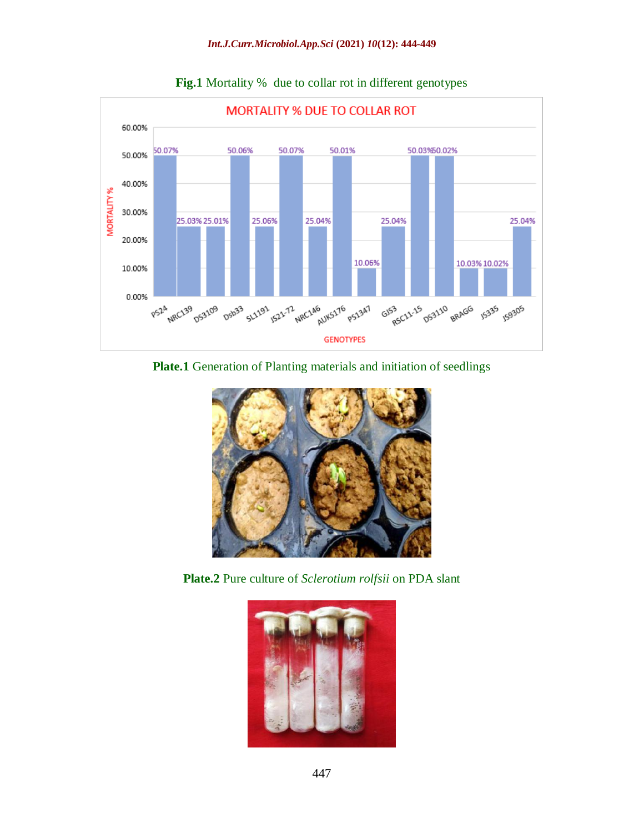

**Fig.1** Mortality % due to collar rot in different genotypes

## **Plate.1** Generation of Planting materials and initiation of seedlings



**Plate.2** Pure culture of *Sclerotium rolfsii* on PDA slant

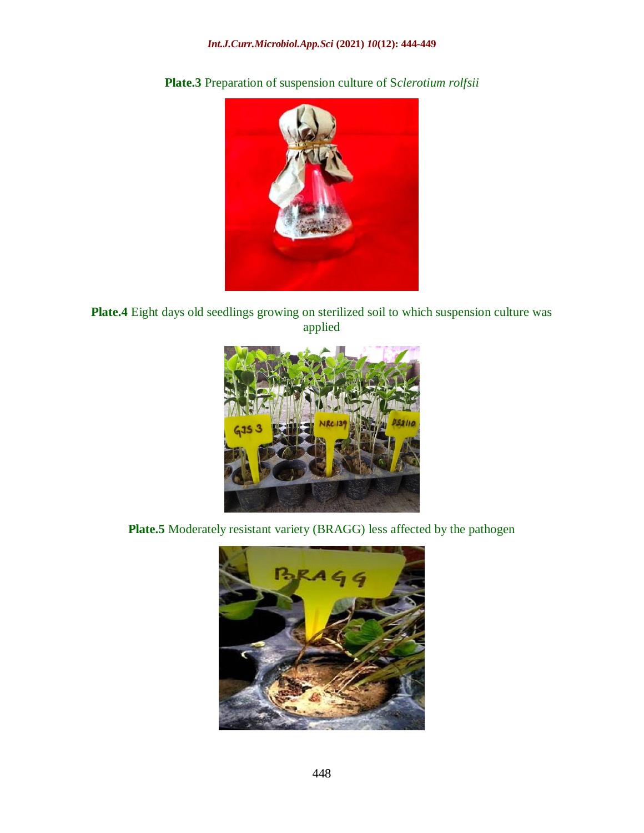

**Plate.3** Preparation of suspension culture of S*clerotium rolfsii*

**Plate.4** Eight days old seedlings growing on sterilized soil to which suspension culture was applied



**Plate.5** Moderately resistant variety (BRAGG) less affected by the pathogen